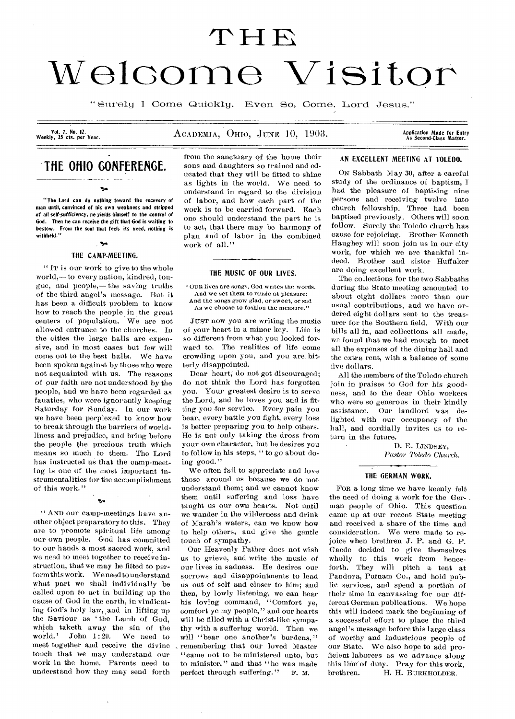# **H**  Welcome Visitor

" Surely I Come Quioklg. Even So, Come, Lord Jesus."

Vol. 7, No. 12.<br>Weekly, 25 cts. per Year.

ACADEMIA, OHIO, JUNE 10, 1903.

Application Made for Entry<br>As Second-Class Matter.

## **THE 01110 GONFERENGE.**

۰.,

"The Lord can do nothing toward the recovery of man until, convinced of his own weakness and stripped of all self-sufficiency, he yields himself to the control of God. Then he can receive the gift that God is waiting to bestow. From the soul that feels its need, nothing is withheld."

### -54 THE CAMP.MEETING.

" IT is our work to give to the whole world,— to every nation, kindred, tongue, and people,— the saving truths of the third angel's message. But it has been a difficult problem to know how to reach the people in the great centers of population. We are not allowed entrance to the churches. In the cities the large halls are expensive, and in most cases but few will come out to the best halls. We have been spoken against by those who were not acquainted with us. The reasons of our faith are not understood by the people, and we have been regarded as fanatics, who were ignorantly keeping Saturday for Sunday. In our work we have been perplexed to know how to break through the barriers of worldliness and prejudice, and bring before the people the precious truth which means so much to them. The Lord has instructed us that the camp-meeting is one of the most important instrumentalities for the accomplishment of this work."

" AND our camp-meetings have another object preparatory to this. They are to promote spiritual life among our own people. God has committed to our hands a most sacred work, and we need to meet together to receive instruction, that we may be fitted to perform this work. We need to understand what part we shall individually be called upon to act in building up the cause of God in the earth, in vindicating God's holy law, and in lifting up the Saviour as ' the Lamb of God, which taketh away the sin of the world.' John  $1:29$ . We need to meet together and receive the divine touch that we may understand our work in the home. Parents need to understand how they may send forth

•5••

from the sanctuary of the home their sons and daughters so trained and educated that they will be fitted to shine as lights in the world. We need to understand in regard to the division of labor, and how each part of the work is to be carried forward. Each one should understand the part he is to act, that there may be harmony of plan and of labor in the combined work of all."

#### THE MUSIC OF OUR LIVES.

"OUR lives are songs, God writes the words. And we set them to music at pleasure: And the songs grow glad, or sweet, or sad As we choose to fashion the measure."

JUST now you are writing the music of your heart in a minor key. Life is so different from what you looked forward to. The realities of life come crowding upon you, and you are. bitterly disappointed.

Dear heart, do not get discouraged; do not think the Lord has forgotten you. Your greatest desire is to serve the Lord, and he loves you and is fitting you for service. Every pain you bear, every battle you fight, every loss is better preparing you to help others. He is not only taking the dross from your own character, but he desires you to follow in his steps, " to go about doing good."

We often fail to appreciate and love those around us because we do not understand them; and we cannot know them until suffering and loss have taught us our own hearts. Not until we wander in the wilderness and drink of Marah's waters, can we know how to help others, and give the gentle touch of sympathy.

Our Heavenly Father does not wish us to grieve, and write the music of our lives in sadness. He desires our sorrows and disappointments to lead us out of self and closer to him; and then, by lowly listening, we can hear his loving command, "Comfort ye, comfort ye my people," and our hearts will be filled with a Christ-like sympathy with a suffering world. Then we will "bear one another's burdens," remembering that our loved Master "came not to be ministered unto, but to minister," and that "he was made perfect through suffering." F. M.

#### AN EXCELLENT MEETING AT TOLEDO.

ON Sabbath May 30, after a careful study of the ordinance of baptism, I had the pleasure of baptising nine persons and receiving twelve into church fellowship. Three had been baptised previously. Others will soon follow. Surely the Toledo church has cause for rejoicing. Brother Kenneth Haughey will soon join us in our city work, for which we are thankful indeed. Brother and sister Huffaker are doing excellent work.

The collections for the two Sabbaths during the State meeting amounted to about eight dollars more than our usual contributions, and we have ordered eight dollars sent to the treasurer for the Southern field. With our bills all in, and collections all made, we found that we had enough to meet all the expenses of the dining hall and the extra rent, with a balance of some five dollars.

All the members of the Toledo church join in praises to God for his goodness, and to the dear Ohio workers who were so generous in their kindly assistance. Our landlord was delighted with our occupancy of the hall, and cordially invites us to return in the future.

> D. E. LINDSEY, Pastor Toledo Church.

#### THE GERMAN WORK.

FOR a long time we have keenly felt the need of doing a work for the Ger- . man people of Ohio. This question came up at our recent State meeting and received a share of the time and consideration. We were made to rejoice when brethren J. P. and G. P. Gaede decided to give themselves wholly to this work from henceforth. They will pitch a tent at Pandora, Putnam Co., and hold public services, and spend a portion of their time in canvassing for our different German publications. We hope this will indeed mark the beginning of a successful effort to place the third angel's message before this large class of worthy and industrious people of our State. We also hope to add proficient laborers as we advance along this line of duty. Pray for this work,<br>brethren. H. H. BURKHOLDER. H. H. BURKHOLDER.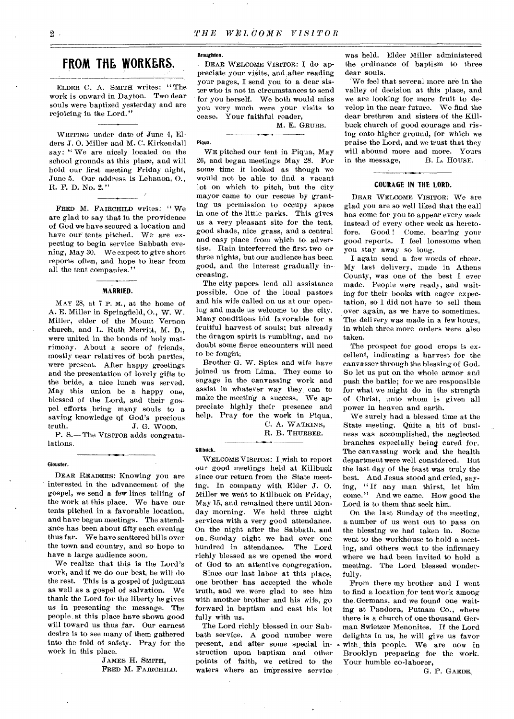## **FROM THE WORKERS.**

ELDER C. A. SMITH writes: "The work is onward in Dayton. Two dear souls were baptized yesterday and are rejoicing in the Lord."

WRITING under date of June 4, Elders J. 0. Miller and M. C. Kirkendall say: "We are nicely located on the school grounds at this place, and will hold our first meeting Friday night, June 5. Our address is Lebanon, 0., R. F. D. No. 2."

FRED M. FAIRCHILD writes: "We are glad to say that in the providence of God we have secured a location and have our tents pitched. We are expecting to begin service Sabbath evening, May 30. We expect to give short reports often, and hope to hear from all the tent companies."

#### **MARRIED.**

MAY 28, at 7 P.M., at the home of A. E. Miller in Springfield, 0., W. W. Miller, elder of the Mount Vernon church, and L. Ruth Merritt, M. D., were united in the bonds of holy matrimony. About a score of friends, mostly near relatives of both parties, were present. After happy greetings and the presentation of lovely gifts to the bride, a nice lunch was served. May this union be a happy one, blessed of the Lord, and their gospel efforts bring many souls to a saving knowledge of God's precious truth. J. G. WOOD. P. S.— The VISITOR adds congratulations.

#### Giouster.

DEAR READERS: Knowing you are interested in the advancement of the gospel, we send a few lines telling of the work at this place. We have our tents pitched in a favorable location, and have begun meetings. The attendance has been about fifty each evening thus far. We have scattered bills over the town and country, and so hope to have a large audience soon.

We realize that this is the Lord's work, and if we do our best, he will do the rest. This is a gospel of judgment as well as a gospel of salvation. We thank the Lord for the liberty he gives us in presenting the message. The people at this place have shown good will toward us thus far. Our earnest desire is to see many of them gathered into the fold of safety. Pray for the work in this place.

JAMES H. SMITH, FRED M. FAIRCHILD.

#### Broughton.

DEAR WELCOME VISITOR: I do appreciate your visits, and after reading your pages, I send you to a dear sister who is not in circumstances to send for you herself. We both would miss you very much were your visits to cease. Your faithful reader,

M. E. GRUBB.

#### Piqua.

WE pitched our tent in Piqua, May 26, and began meetings May 28. For some time it looked as though we would not be able to find a vacant lot on which to pitch, but the city mayor came to our rescue by granting us permission to occupy space in one of the little parks. This gives us a very pleasant site for the tent, good shade, nice grass, and a central and easy place from which to advertise. Rain interferred the first two or three nights, but our audience has been good, and the interest gradually increasing.

The city papers lend all assistance possible. One of the local pastors and his wife called on us at our opening and made us welcome to the city. Many conditions bid favorable for a fruitful harvest of souls; but already the dragon spirit is rumbling, and no doubt some fierce encounters will need to be fought.

Brother G. W. Spies and wife have joined us from Lima. They come to engage in the canvassing work and assist in whatever way they can to make the meeting a success. We appreciate highly their presence and help. Pray for the work in Piqua.

C. A. WATKINS,

H. B. THURBER.

#### Killbuck.

WELCOME VISITOR: I wish to report our good meetings held at Killbuck since our return from the State meeting. In company with Elder J. 0. Miller we went to Killbuck on Friday, May 15, and remained there until Monday morning. We held three night services with a very good attendance. On the night after the Sabbath, and on\_ Sunday night we had over one hundred in attendance. The Lord richly blessed as we opened the word of God to an attentive congregation.

Since our last labor at this place, one brother has accepted the whole truth, and we were glad to see him with another brother and his wife, go forward in baptism and cast his lot fully with us.

The Lord richly blessed in our Sabbath service. A good number were present, and after some special instruction upon baptism and other points of faith, we retired to the waters where an impressive service

was held. Elder Miller administered the ordinance of baptism to three dear souls.

We feel that several more are in the valley of decision at this place, and we are looking for more fruit to develop in the near future. We find the dear brethren and sisters of the Killbuck church of good courage and rising onto higher ground, for which we praise the Lord, and we trust that they will abound more and more. Yours<br>in the message, B. L. HOUSE. in the message,

#### **COURAGE IN THE LORD.**

DEAR WELCOME VISITOR: We are glad you are so well liked that the call has come for you to appear every week instead of every other week as hereto-<br>fore. Good! Come, bearing your fore. Good ! Come, bearing your good reports. I feel lonesome when you stay away so long.

I again send a few words of cheer. My last delivery, made in Athens County, was one of the best I ever made. People were ready, and waiting for their books with eager expectation, so 1 did not have to sell them over again, as we have to sometimes. The delivery was made in a few hours, in which three more orders were also taken.

The prospect for good crops is excellent, indicating a harvest for the canvasser through the blessing of God. So let us put on the whole armor and push the battle; for we are responsible for what we might do in the strength of Christ, unto whom is given all power in heaven and earth.

We surely had a blessed time at the State meeting. Quite a bit of business was accomplished, the neglected branches especially being cared for. The canvassing work and the health department were well considered. But the last day of the feast was truly the best. And Jesus stood and cried, saying, " If any man thirst, let him come." And we came. How good the Lord is to them that seek him.

On the last Sunday of the meeting, a number of us went out to pass on the blessing we had taken in. Some went to the workhouse to hold a meeting, and others went to the infirmary where we had been invited to hold a meeting. The Lord blessed wonderfully.

From there my brother and I went to find a location for tent work among the. Germans, and we found one waiting at Pandora, Putnam Co., where there is a church of one thousand German Swietzer Menonites. If the Lord delights in us, he will give us favor with, this people. We are now in Brooklyn preparing for the work. Your humble co-laborer,

G. P. GAEDE.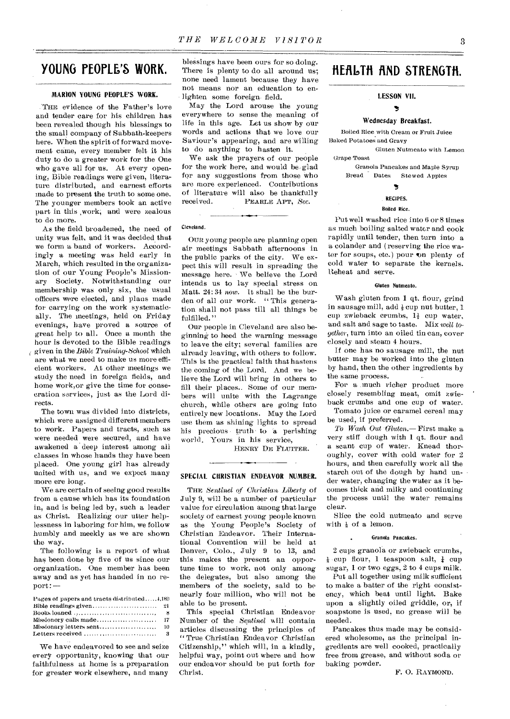## **YOUNG PEOPLE'S WORK.**

#### **MARION YOUNG PEOPLE'S WORK.**

.'THE evidence of the Father's love and tender care for his children has been revealed though his blessings to the small company of Sabbath-keepers here. When the spirit of forward movement came, every member felt it his duty to do a greater work for the One who gave all for us. At every opening, Bible readings were given, literature distributed, and earnest efforts made to present the truth to some one. The younger members took an active part in this ,work; and were zealous to do more.

As the field broadened, the need of unity was felt, and it was decided that we form a band of workers. Accordingly a meeting was held early in March, which resulted in the organization of our Young People's Missionary Society. Notwithstanding our membership was only six, the usual officers were elected, and plans made for carrying on the work systematically. The meetings, held on Friday evenings, have proved a source of great help to all. Once a month the hour is devoted to the Bible readings given in the *Bible Training-School* which are what we need to make us more efficient workers. At other meetings we study the need in foreign fields, and home work,or give the time for consecration services, just as the Lord directs.

The town was divided into districts, which were assigned different members to work. Papers and tracts, such as were needed were secured, and have awakened a deep interest among all classes in whose hands they have been placed. One young girl has already united with us, and we expect many more ere long.

We are certain of seeing good results from a cause which has its foundation in, and is being led by, such a leader as Christ. Realizing our utter helplessness in laboring for him, we follow humbly and meekly as we are shown the way.

The following is a report of what has been done by five of us since our organization. One member has been away and as yet has handed in no report: --

| Pages of papers and tracts distributed $\ddots$                            |          |
|----------------------------------------------------------------------------|----------|
|                                                                            |          |
| Books loaned $\ldots, \ldots, \ldots, \ldots, \ldots, \ldots, \ldots,$     | - 8      |
|                                                                            |          |
| Missionary letters sent                                                    | 10       |
| Letters received $\ldots \ldots \ldots \ldots \ldots \ldots \ldots \ldots$ | $\bf{3}$ |

We have endeavored to see and seize every opportunity, knowing that our faithfulness at home is a preparation for greater work elsewhere, and many

blessings have been ours for so doing. There is plenty to do all around us; none need lament because they have not means nor an education to enlighten some foreign field.

May the Lord arouse the young everywhere to sense the meaning of life in this age. Let us show by our words and actions that we love our Saviour's appearing, and are willing to do anything to hasten it.

We ask the prayers of our people for the work here, and would be. glad for any suggestions from those Who are more experienced. Contributions of literature will also be thankfully received. PEARLE APT, Sec.

#### Cleveland.

OUR young people are planning open air meetings Sabbath afternoons in the public parks of the city. We expect this will result in spreading the message here. We believe the Lord intends us to lay special stress on Matt. 24:34 now. It shall be the burden of all our work. " This generation shall not pass till all things be fulfilled."

Our people in Cleveland are also beginning to heed the warning message to leave the city; several families are already leaving, with others to follow. This is the practical faith that hastens the coming of the Lord. And we believe the Lord will bring in others to fill their places.. Some of our members will unite with the Lagrange church, while others are going into entirely new locations. May the Lord use them as shining lights to spread his precious truth to a perishing world. Yours in his service,

HENRY DE FLUITER.

#### **SPECIAL CHRISTIAN ENDEAVOR NUMBER.**

THE *Sentinel of Christian Liberty* of July 9, will be a number of particular value for circulation among that large society of earnest young people known as the Young People's Society of Christian Endeavor. Their International Convention will be held at Denver, Colo., July 9 to 13, and this makes the present an opportune time to work, not only among the delegates, but also among the members of the society, said to be nearly four million, who will not be able to be present.

This special Christian Endeavor Number of the *Sentinel* mill contain articles discussing the principles of " True Christian Endeavor Christian Citizenship," which will, in a kindly, helpful way, point out where and how our endeavor should be put forth for Christ.

## **HERIDTH fi.ND STRENGTH.**

#### **LESSON VII.**

#### $\overline{\phantom{a}}$

#### **Wednesday Breakfast.**

Boiled Rice with Cream or Fruit Juice Baked Potatoes and Gravy

Gluten Nutmeato with Lemon Grape Toast

Granola Pancakes and Maple Syrup Bread Dates Stewed Apples

#### ð.

#### RECIPES.

#### Boiled Rice.

Put well washed rice into 6 or 8 times as much boiling salted water and cook rapidly until tender, then turn into a a colander and ( reserving the rice water for soups, etc.) pour on plenty of cold water to separate the kernels. -Reheat and serve.

#### Gluten Nutmeato.

Wash gluten from **1** qt. flour, grind in sausage mill, add  $\frac{1}{2}$  cup nut butter, 1 cup zwieback crumbs, 14 cup water, and salt and sage to taste. Mix *well together,* turn into an oiled tin can, cover closely and steam 4 hours.

If one has no sausage mill, the nut butter may be worked into the gluten by hand, then the other ingredients by the same process.

For a much richer product more closely resembling meat, omit zwieback crumbs and one cup of water.

Tomato juice or caramel cereal may be used, if preferred.

*To Wash* Out *Gluten.—* First make a very stiff dough with **1** qt. flour and a scant cup of water. Knead thoroughly, cover with cold water for 2 hours, and then carefully work all the starch out of the dough by hand un- • der water, changing the water as it becomes thick and milky and continuing the process until the water remains clear.

Slice the cold nutmeato and serve with  $\frac{1}{8}$  of a lemon.

#### Granola Pancakes.

2 cups granola or zwieback crumbs,  $\frac{1}{2}$  cup flour, 1 teaspoon salt,  $\frac{1}{4}$  cup sugar, 1 or two eggs, 2 to 4 cups milk.

Put all together using milk sufficient to make a batter of the right consistency, which beat until light. Bake upon a slightly oiled griddle, or, if soapstone is used, no grease will be needed.

Pancakes thus made may be considered wholesome, as the principal ingredients are well cooked, practically free from grease, and without soda or baking powder.